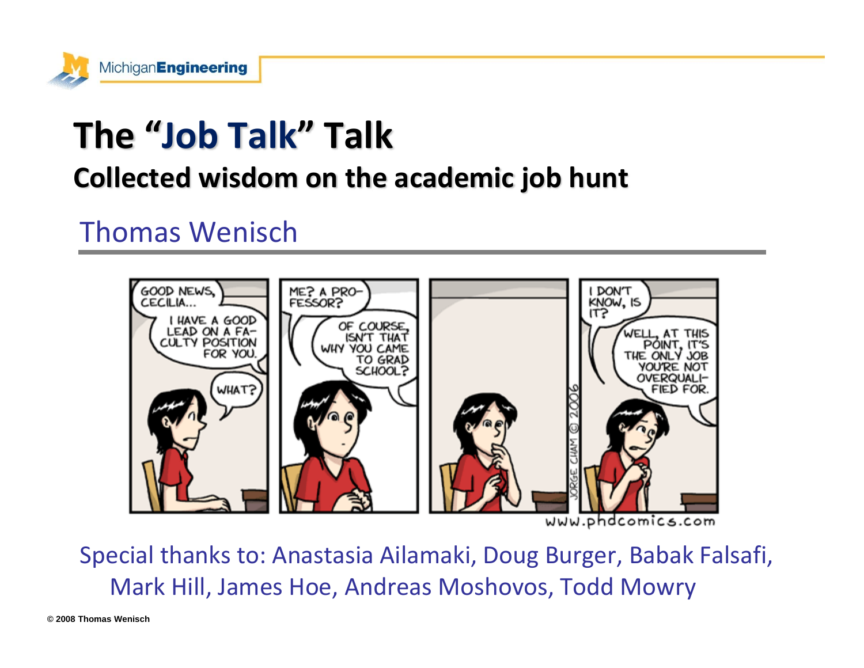

# **The "Job Talk" Talk**

#### **Collected wisdom on the academic job hunt**

#### Thomas Wenisch



www.phdcomics.com

Special thanks to: Anastasia Ailamaki, Doug Burger, Babak Falsafi, Mark Hill, James Hoe, Andreas Moshovos, Todd Mowry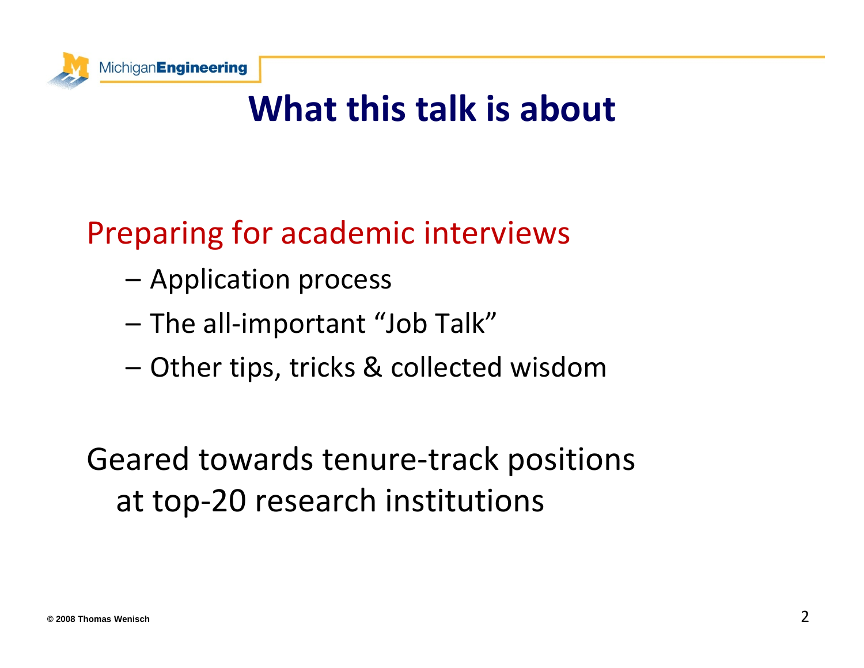

## **What this talk is about**

### Preparing for academic interviews

- Application process
- –The all‐important "Job Talk"
- –Other tips, tricks & collected wisdom

### Geared towards tenure‐track positions at top‐20 research institutions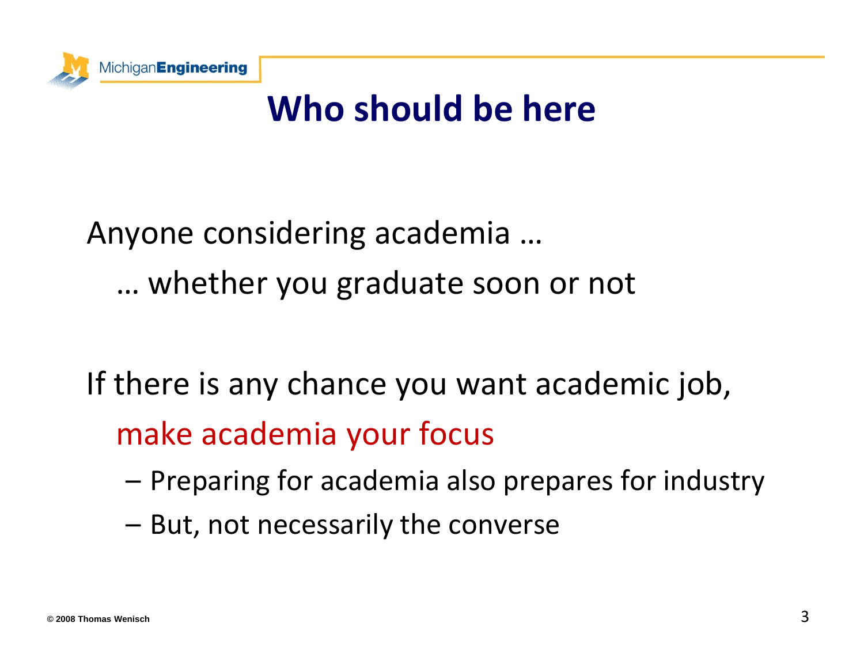

## **Who should be here**

# Anyone considering academia … … whether you graduate soon or not

If there is any chance you want academic job, make academia your focus

- –– Preparing for academia also prepares for industry
- – $-$  But, not necessarily the converse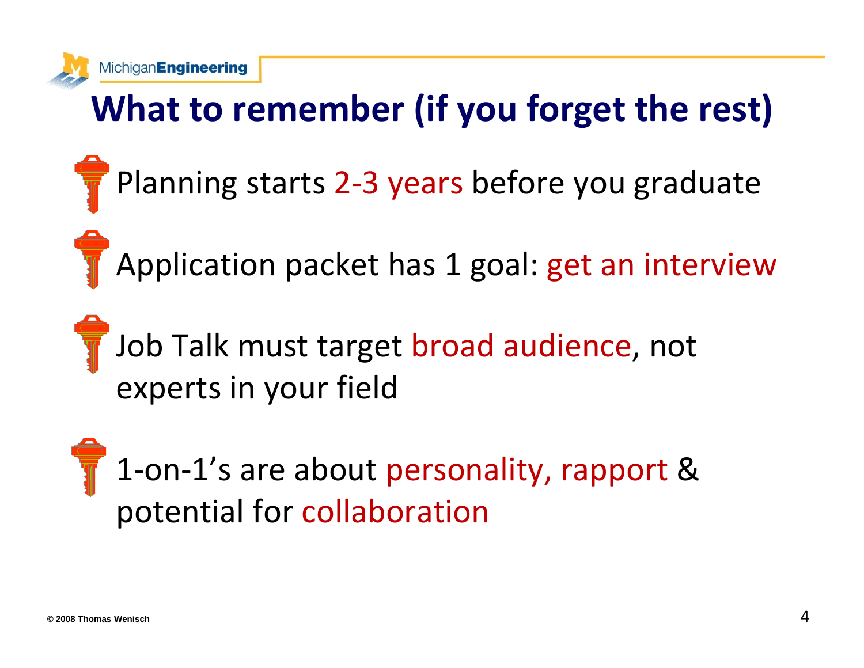

Michigan Engineering

# **What to remember (if you forget the rest)**

- Planning starts 2-3 years before you graduate
- Application packet has 1 goal: get an interview
- Job Talk must target broad audience, not experts in your field
- 1‐on‐1's are about personality, rapport & potential for collaboration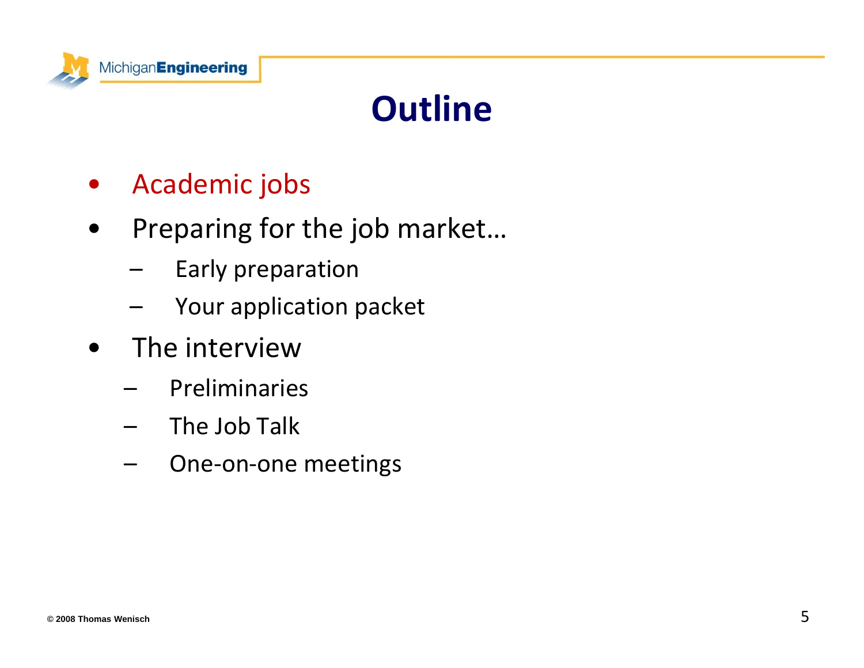

# **Outline**

- •Academic jobs
- • Preparing for the job market…
	- –Early preparation
	- –Your application packet
- • The interview
	- –Preliminaries
	- – $\;$  The Job Talk
	- –One‐on‐one meetings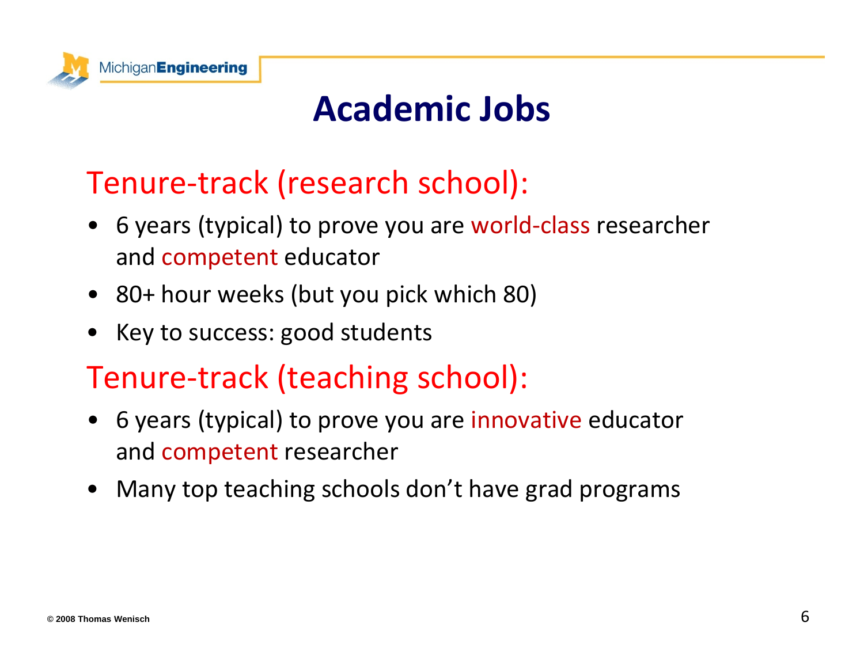

## **Academic Jobs**

#### Tenure‐track (research school):

- 6 years (typical) to prove you are world-class researcher and competent educator
- 80+ hour weeks (but you pick which 80)
- •Key to success: good students

#### Tenure‐track (teaching school):

- 6 years (typical) to prove you are innovative educator and competent researcher
- •Many top teaching schools don't have grad programs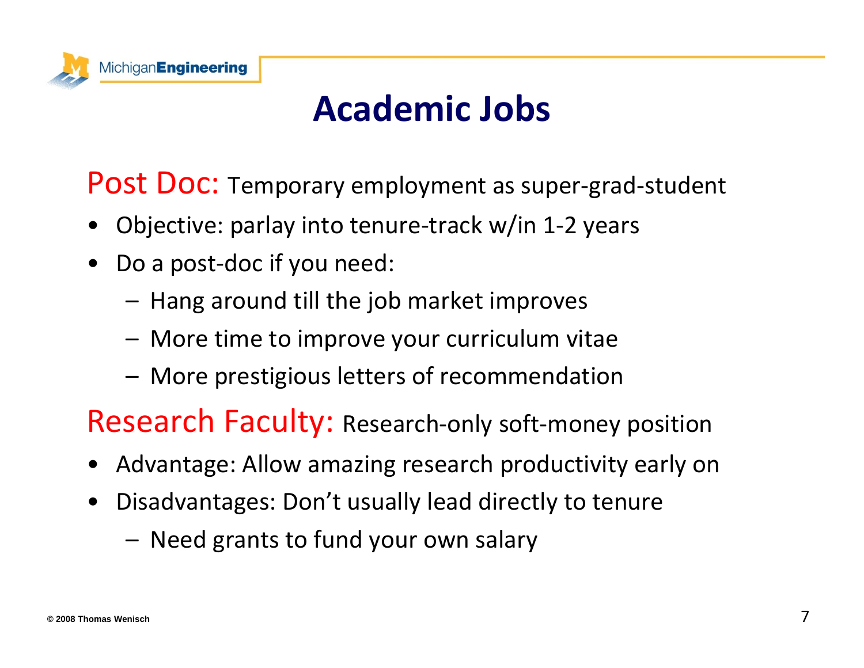

## **Academic Jobs**

Post Doc: Temporary employment as super-grad-student

- •Objective: parlay into tenure‐track w/in 1‐2 years
- •• Do a post-doc if you need:
	- – $-$  Hang around till the job market improves
	- More time to improve your curriculum vitae
	- –More prestigious letters of recommendation

Research Faculty: Research-only soft-money position

- •Advantage: Allow amazing research productivity early on
- • Disadvantages: Don't usually lead directly to tenure
	- Need grants to fund your own salary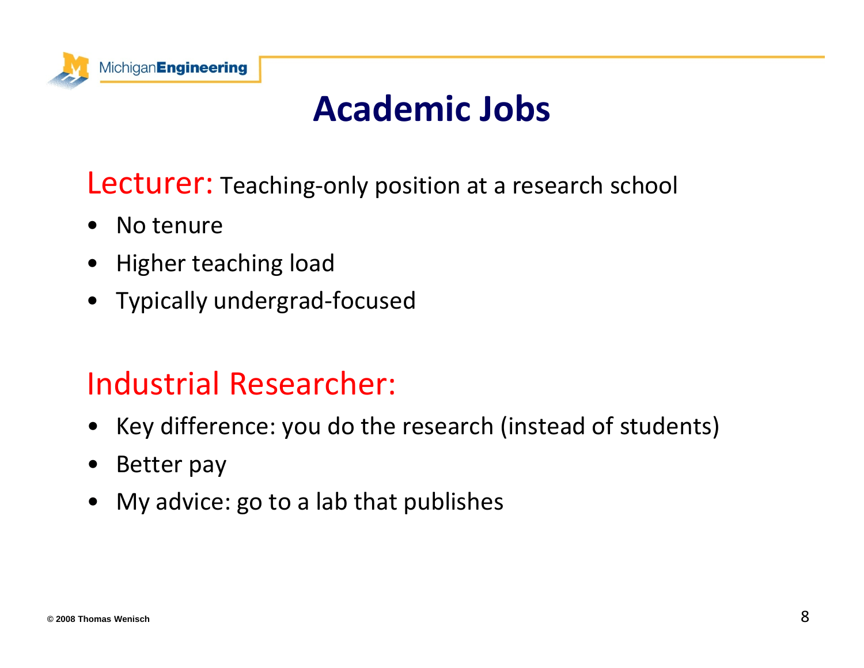

## **Academic Jobs**

#### Lecturer: Teaching-only position at a research school

- •• No tenure
- Higher teaching load
- Typically undergrad‐focused

#### Industrial Researcher:

- Key difference: you do the research (instead of students)
- •Better pay
- •My advice: go to <sup>a</sup> lab that publishes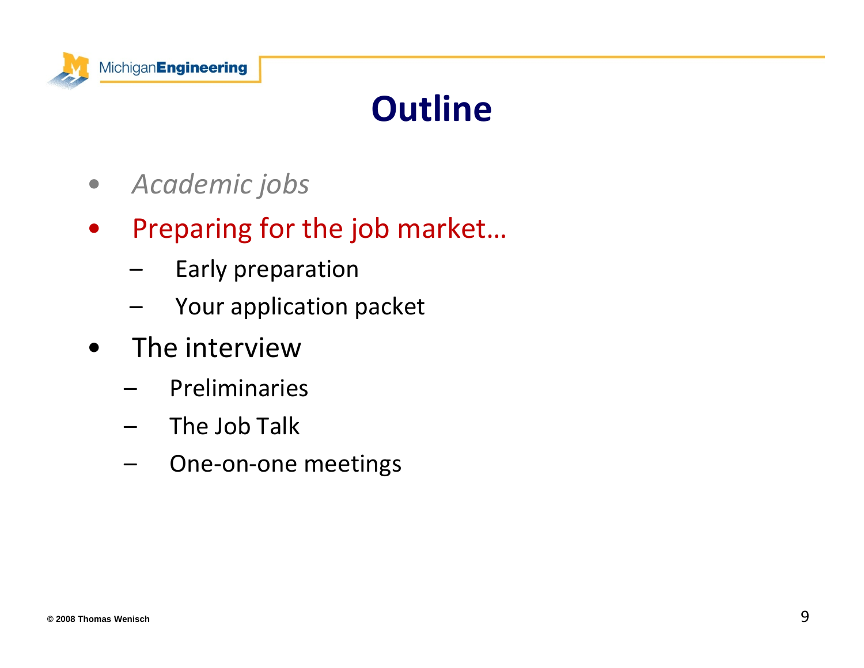

# **Outline**

- $\bullet$ *Academic jobs*
- $\bullet$  Preparing for the job market…
	- –Early preparation
	- –Your application packet
- • The interview
	- –Preliminaries
	- – $\;$  The Job Talk
	- –One‐on‐one meetings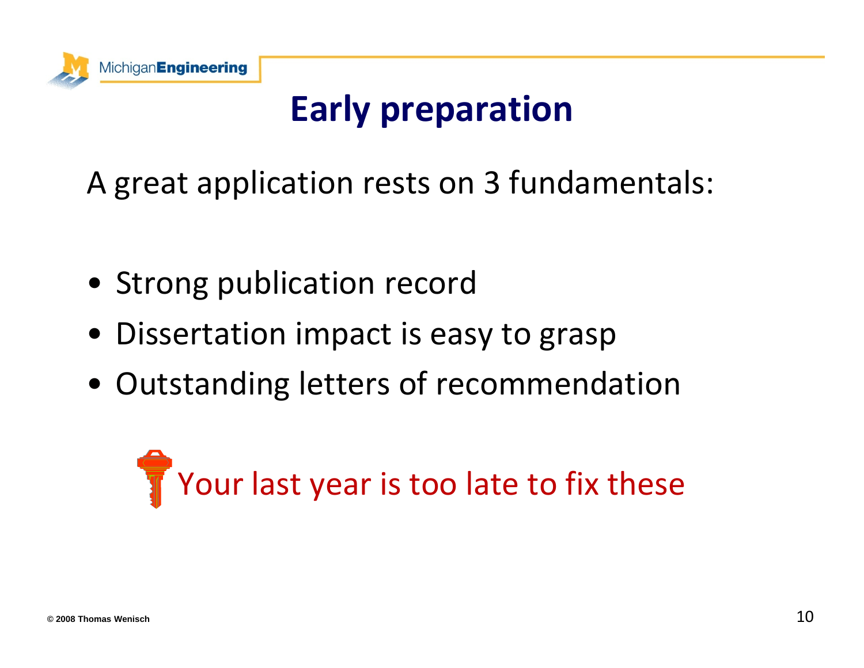

# **Early preparation**

A great application rests on 3 fundamentals:

- Strong publication record
- Dissertation impact is easy to grasp
- Outstanding letters of recommendation

# Your last year is too late to fix these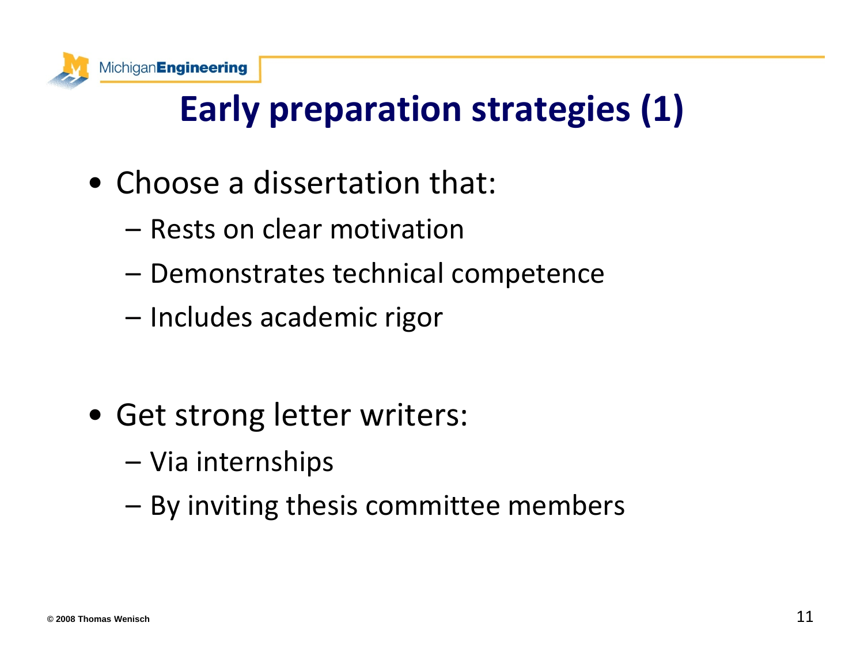

# **Early preparation strategies (1)**

- Choose <sup>a</sup> dissertation that:
	- Rests on clear motivation
	- –Demonstrates technical competence
	- Includes academic rigor

- Get strong letter writers:
	- –– Via internships
	- –– By inviting thesis committee members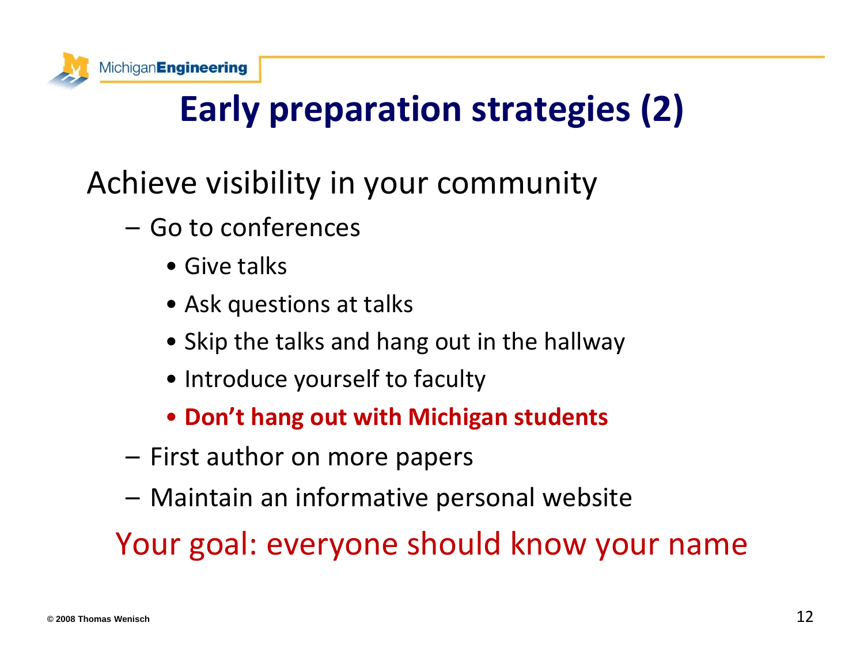

# **Early preparation strategies (2)**

### Achieve visibility in your community

- Go to conferences
	- Give talks
	- Ask questions at talks
	- Skip the talks and hang out in the hallway
	- Introduce yourself to faculty
	- **Don't hang out with Michigan students**
- First author on more papers
- Maintain an informative personal website

Your goal: everyone should know your name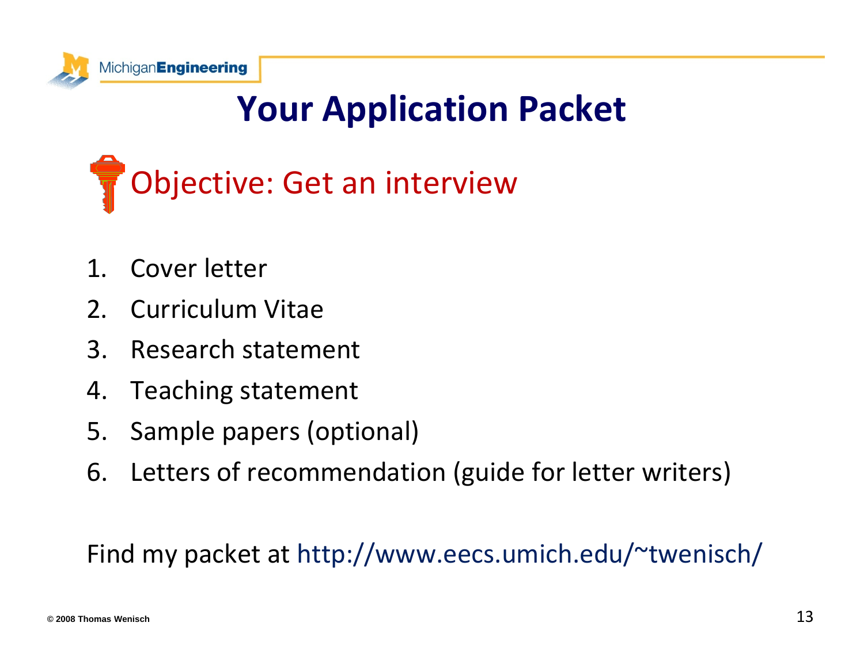

# **Your Application Packet**

# Objective: Get an interview

- 1.Cover letter
- 2.Curriculum Vitae
- 3.Research statement
- 4.Teaching statement
- 5.Sample papers (optional)
- 6. Letters of recommendation (guide for letter writers)

#### Find my packet at http://www.eecs.umich.edu/~twenisch/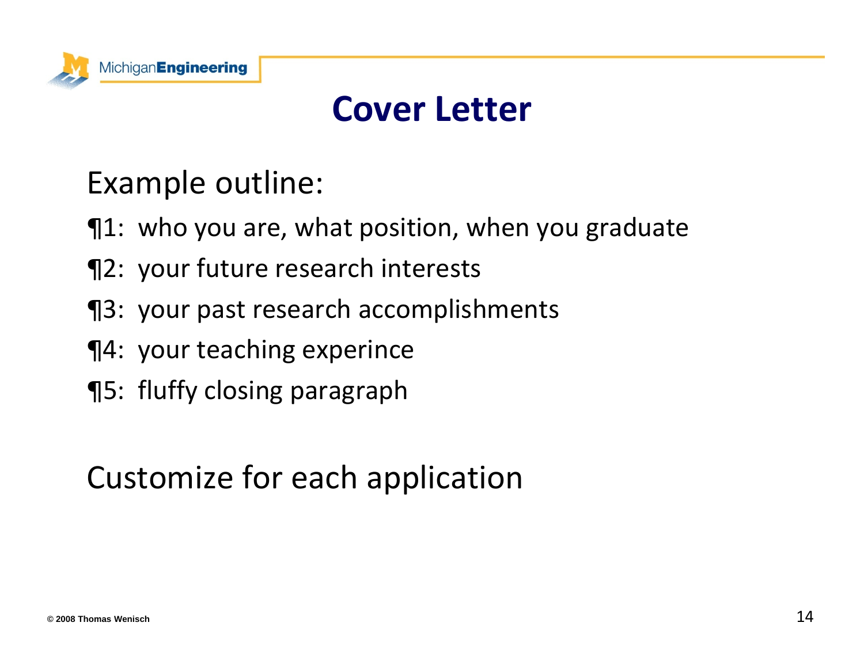

### **Cover Letter**

#### Example outline:

- ¶1: who you are, what position, when you graduate
- ¶2: your future research interests
- ¶3: your past research accomplishments
- ¶4: your teaching experince
- ¶5: fluffy closing paragraph

#### Customize for each application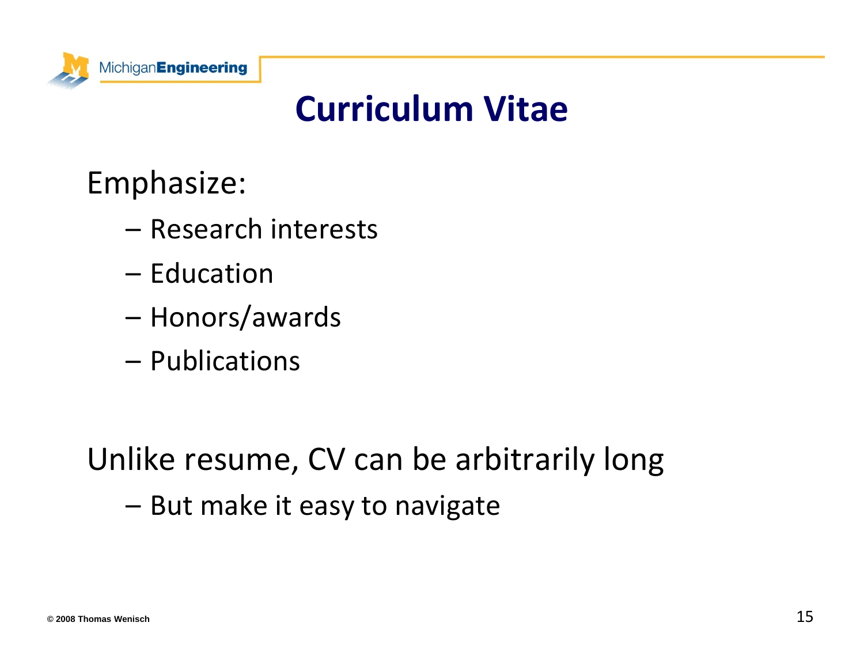

## **Curriculum Vitae**

#### Emphasize:

- Research interests
- Education
- Honors/awards
- Publications

#### Unlike resume, CV can be arbitrarily long –– But make it easy to navigate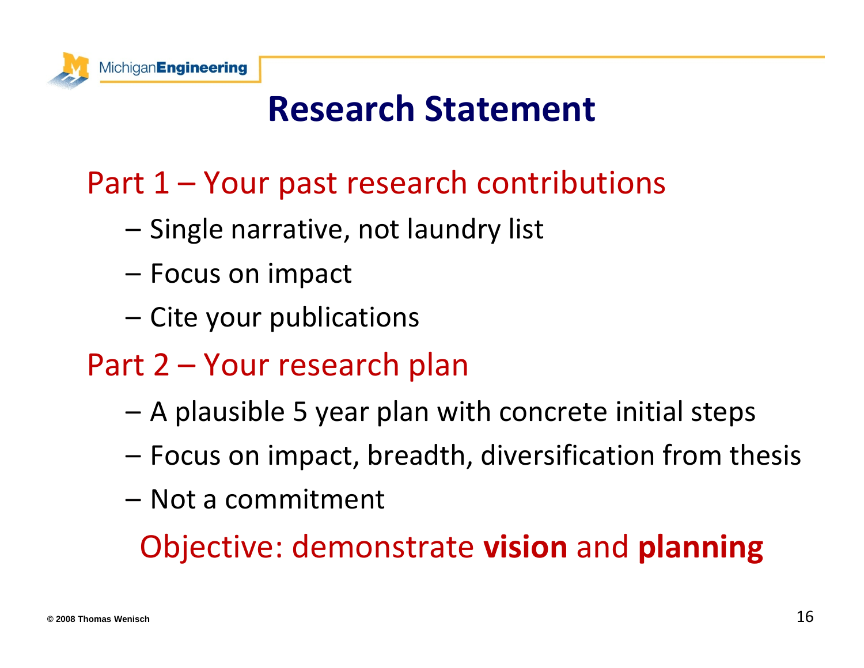

## **Research Statement**

### Part 1 – Your past research contributions

- –– Single narrative, not laundry list
- Focus on impact
- Cite your publications
- Part 2 Your research plan
	- A plausible 5 year plan with concrete initial steps
	- Focus on impact, breadth, diversification from thesis
	- Not a commitment

Objective: demonstrate **vision** and **planning**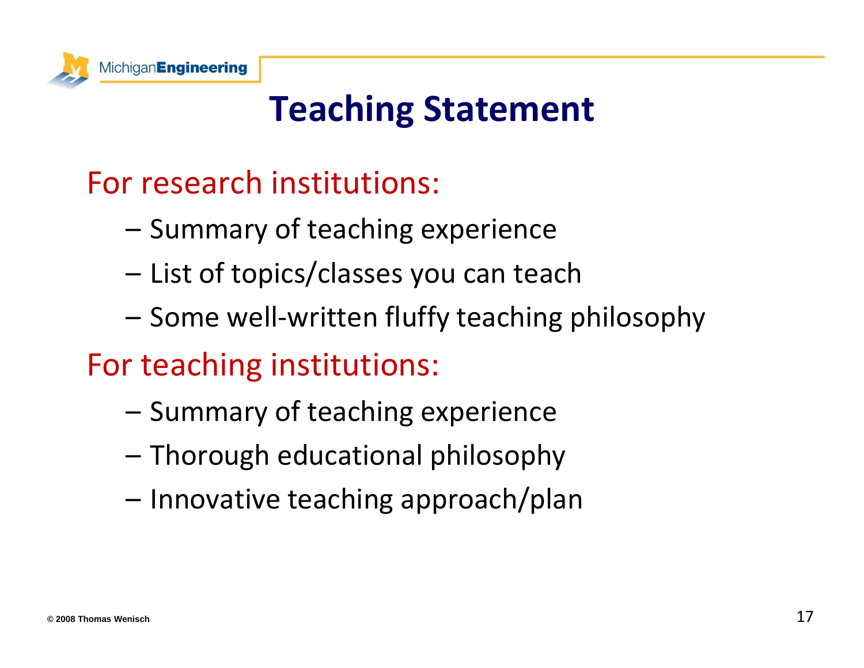

# **Teaching Statement**

#### For research institutions:

- –- Summary of teaching experience
- –– List of topics/classes you can teach
- Some well‐written fluffy teaching philosophy

#### For teaching institutions:

- –– Summary of teaching experience
- Thorough educational philosophy
- Innovative teaching approach/plan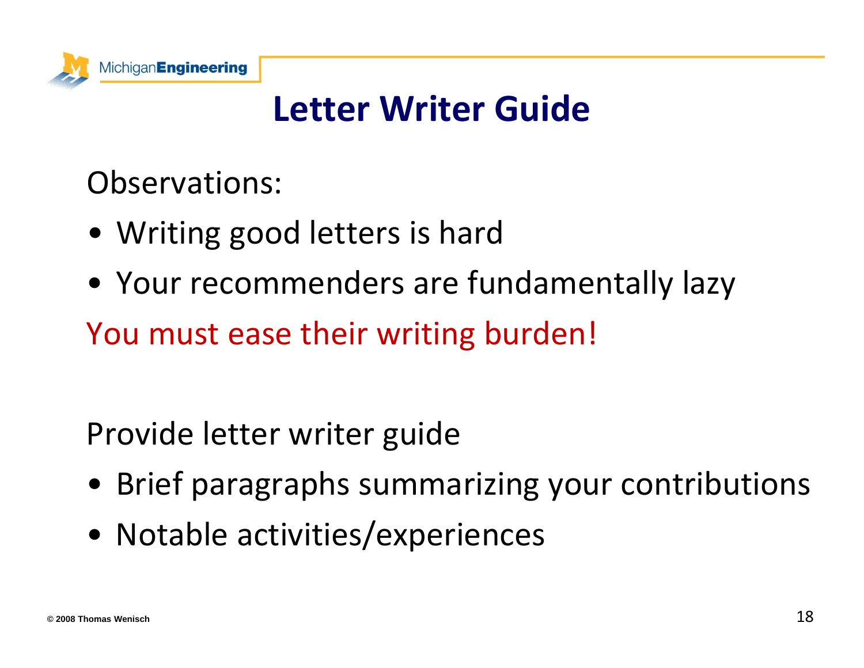

# **Letter Writer Guide**

#### Observations:

- Writing good letters is hard
- Your recommenders are fundamentally lazy

You must ease their writing burden!

#### Provide letter writer guide

- Brief paragraphs summarizing your contributions
- Notable activities/experiences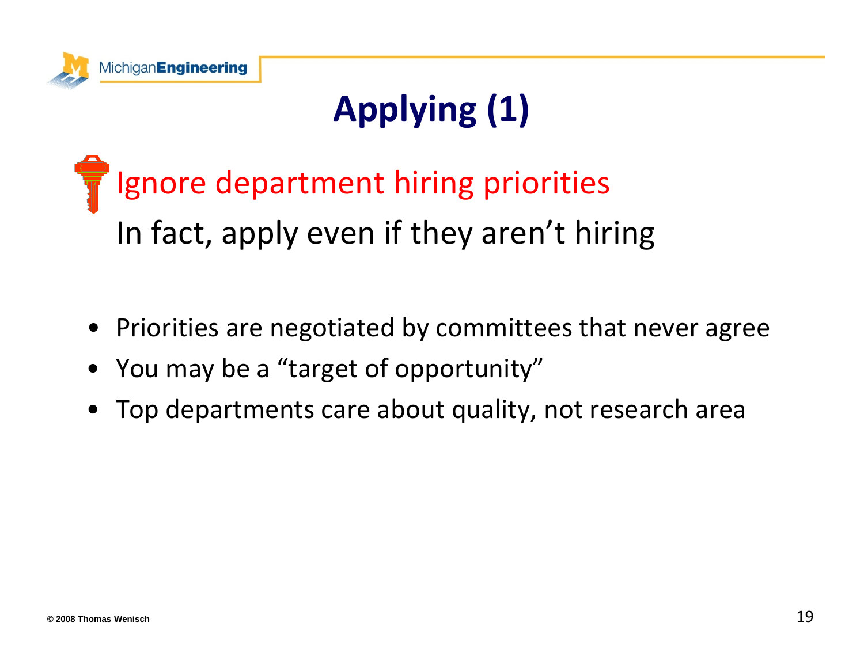

# **Applying (1)**

Ignore department hiring priorities In fact, apply even if they aren't hiring

- Priorities are negotiated by committees that never agree
- •• You may be a "target of opportunity"
- Top departments care about quality, not research area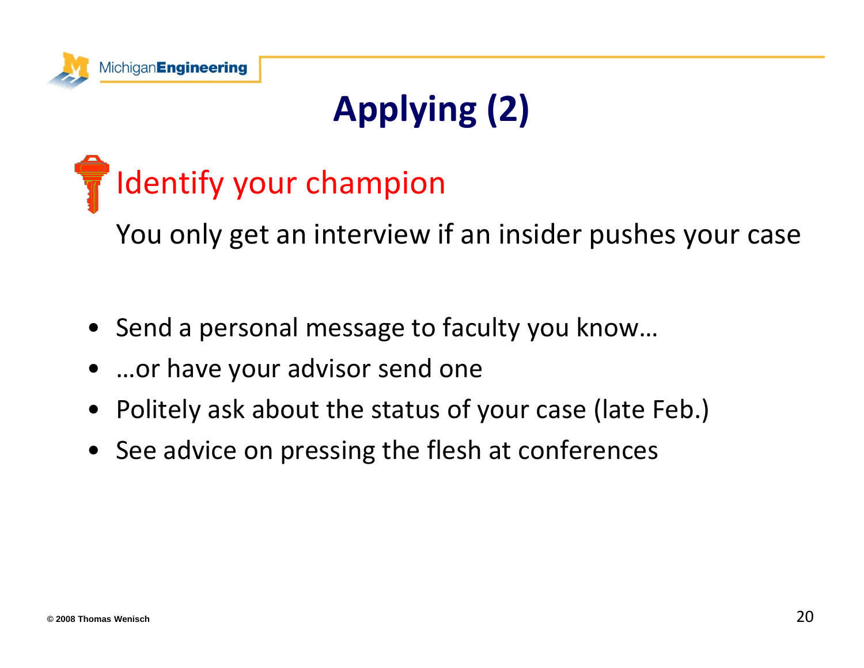

# **Applying (2)**

# Identify your champion

You only get an interview if an insider pushes your case

- Send <sup>a</sup> personal message to faculty you know…
- …or have your advisor send one
- •Politely ask about the status of your case (late Feb.)
- See advice on pressing the flesh at conferences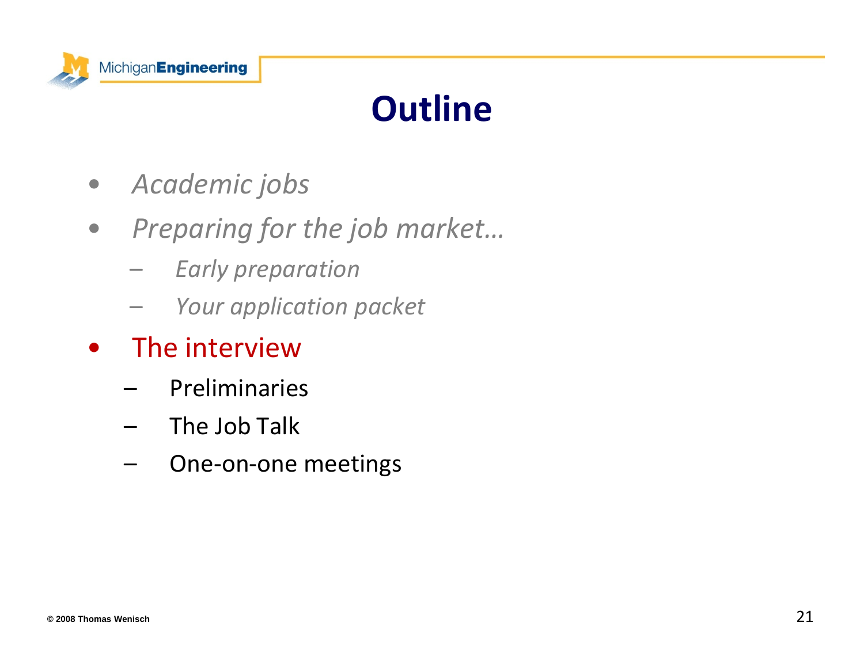

# **Outline**

- $\bullet$ *Academic jobs*
- $\bullet$  *Preparing for the job market…*
	- –*Early preparation*
	- –*Your application packet*
- • The interview
	- –Preliminaries
	- – $\;$  The Job Talk
	- –One‐on‐one meetings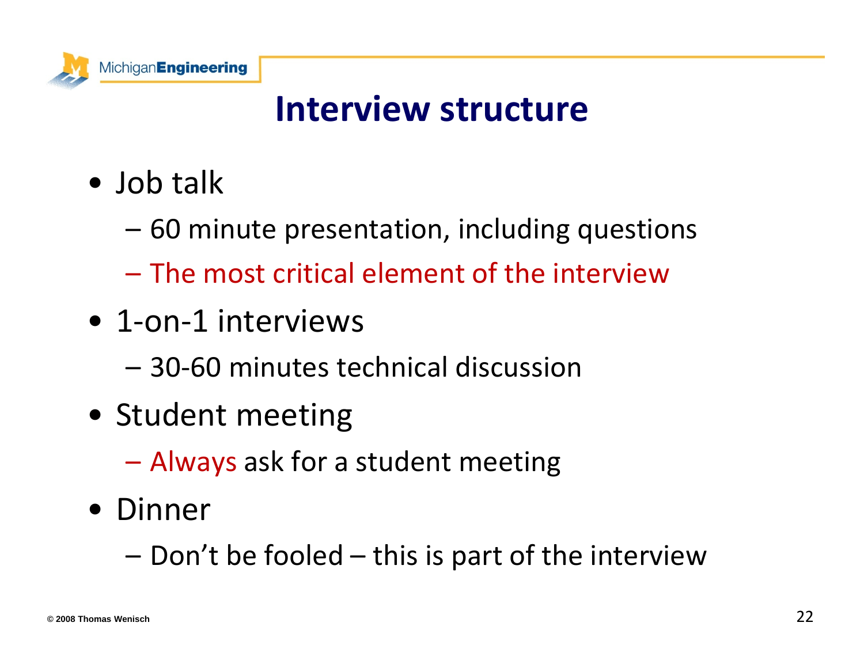

### **Interview structure**

- Job talk
	- 60 minute presentation, including questions
	- The most critical element of the interview
- 1-on-1 interviews
	- 30‐60 minutes technical discussion
- Student meeting
	- **Law Address Control** Always ask for <sup>a</sup> student meeting
- Dinner
	- Don't be fooled this is part of the interview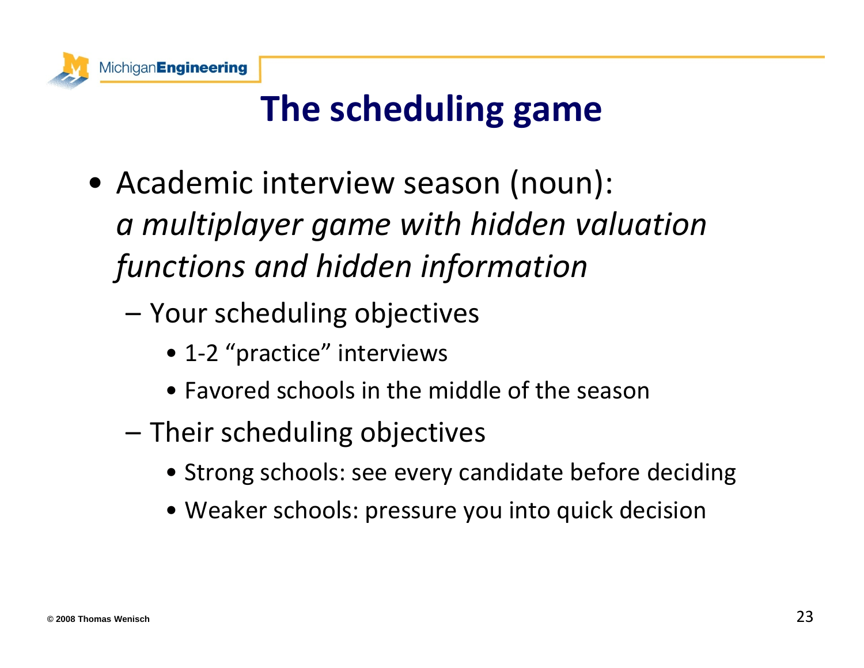

# **The scheduling game**

- Academic interview season (noun): *a multiplayer game with hidden valuation functions and hidden information*
	- Your scheduling objectives
		- 1-2 "practice" interviews
		- Favored schools in the middle of the season
	- Their scheduling objectives
		- Strong schools: see every candidate before deciding
		- Weaker schools: pressure you into quick decision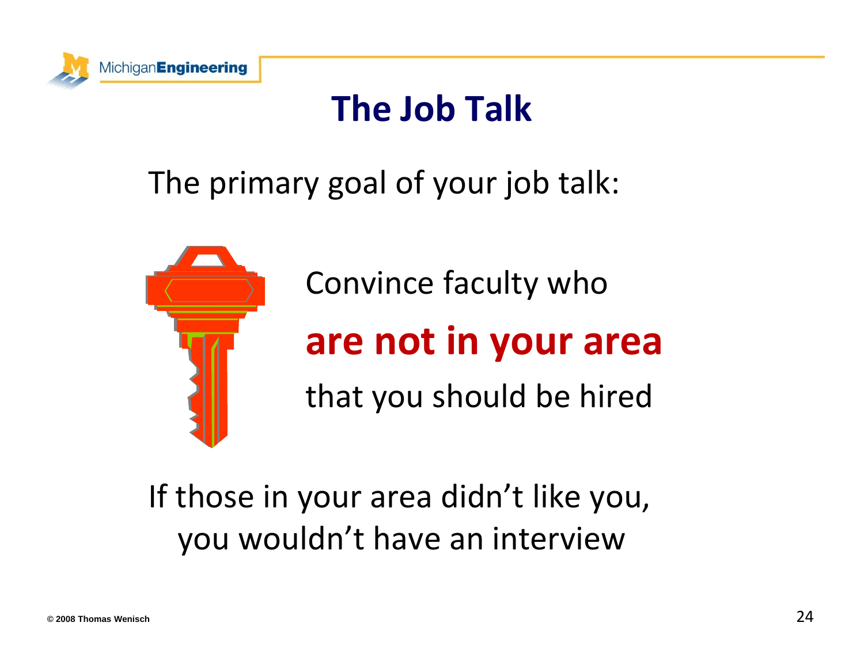

### **The Job Talk**

### The primary goal of your job talk:



Convince faculty who **are not in your area** that you should be hired

### If those in your area didn't like you, you wouldn't have an interview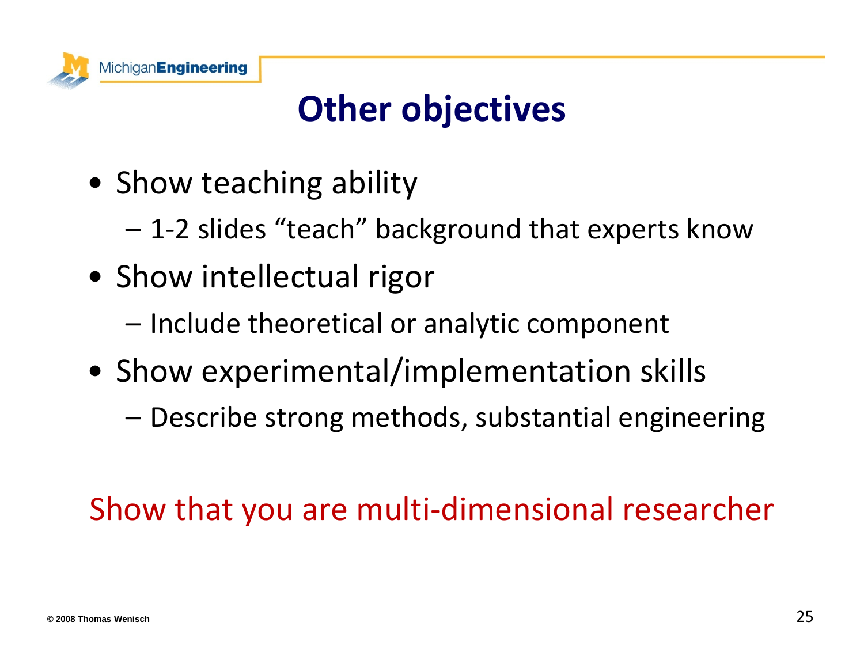

# **Other objectives**

- Show teaching ability
	- 1‐2 slides "teach" background that experts know
- Show intellectual rigor
	- –– Include theoretical or analytic component
- Show experimental/implementation skills
	- Describe strong methods, substantial engineering

### Show that you are multi‐dimensional researcher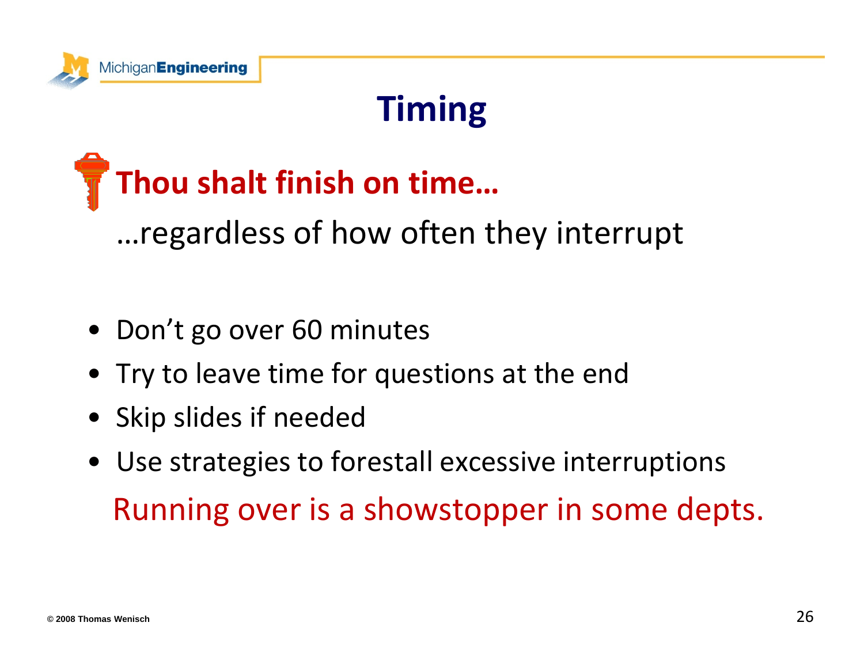

# **Timing**

# **Thou shalt finish on time…** …regardless of how often they interrupt

- Don't go over 60 minutes
- Try to leave time for questions at the end
- Skip slides if needed
- Use strategies to forestall excessive interruptions Running over is <sup>a</sup> showstopper in some depts.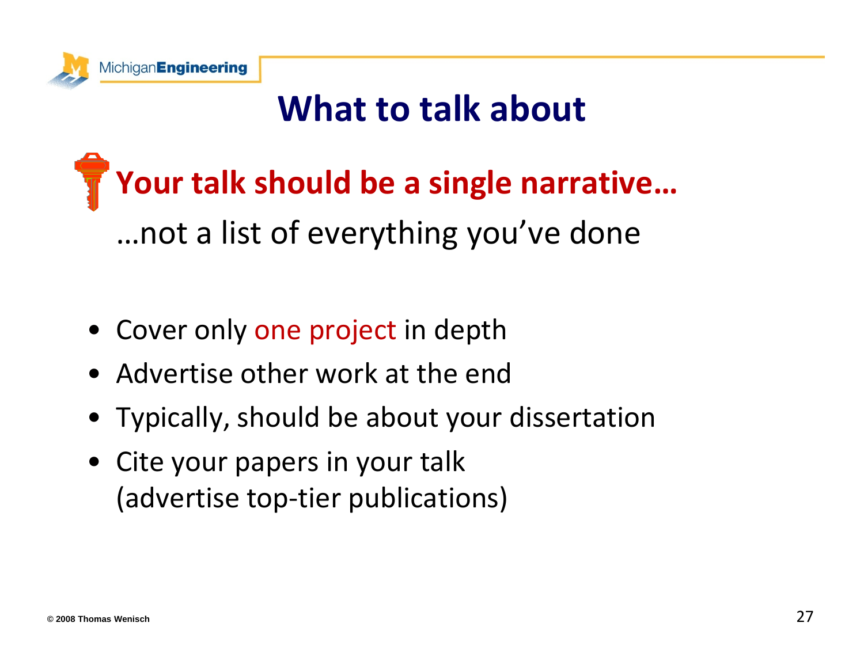

### **What to talk about**

# **Your talk should be <sup>a</sup> single narrative…** …not a list of everything you've done

- Cover only one project in depth
- Advertise other work at the end
- Typically, should be about your dissertation
- Cite your papers in your talk (advertise top‐tier publications)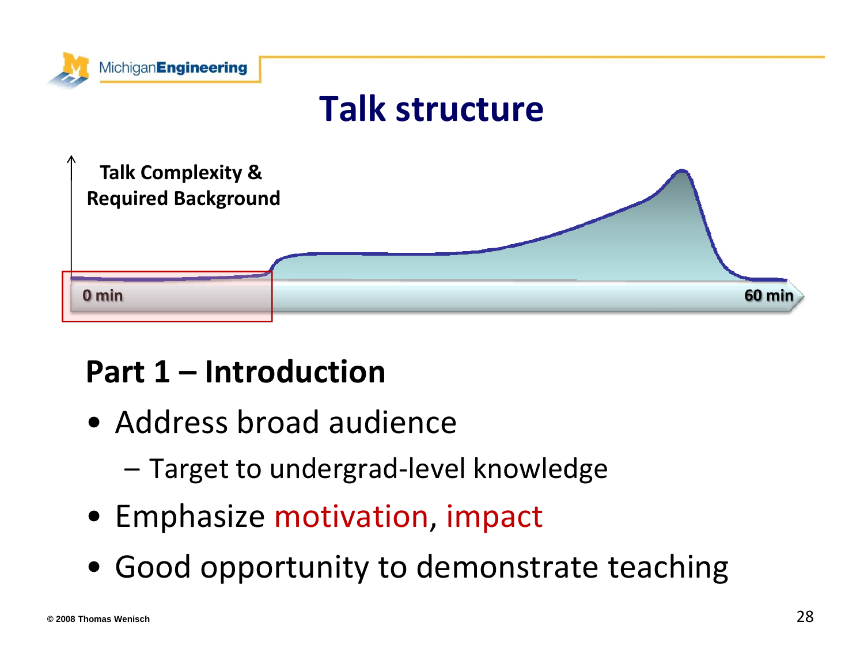

### **Talk structure**



### **Part 1 – Introduction**

- Address broad audience
	- –Target to undergrad‐level knowledge
- Emphasize motivation, impact
- Good opportunity to demonstrate teaching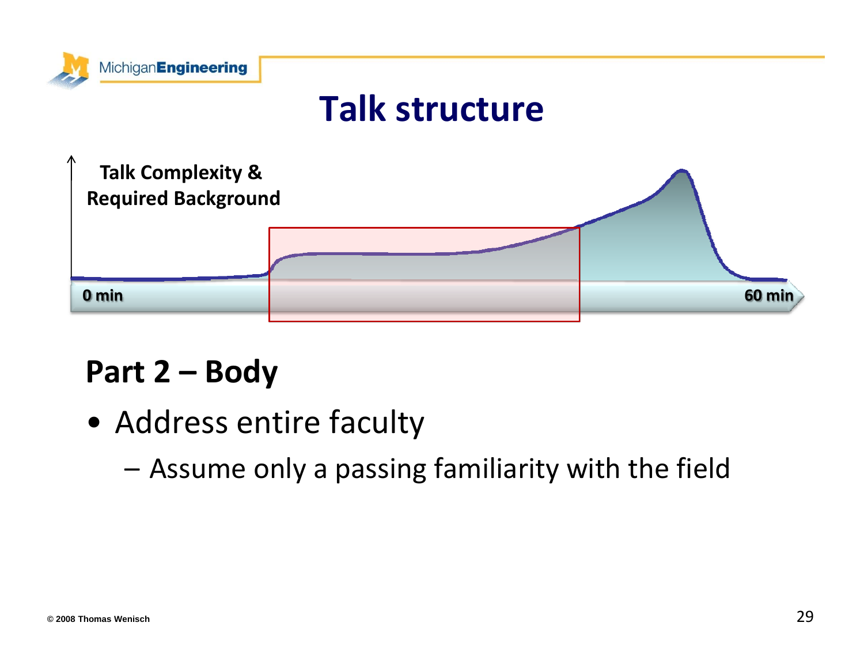

### **Talk structure**



## **Part 2 – Body**

• Address entire faculty

–Assume only <sup>a</sup> passing familiarity with the field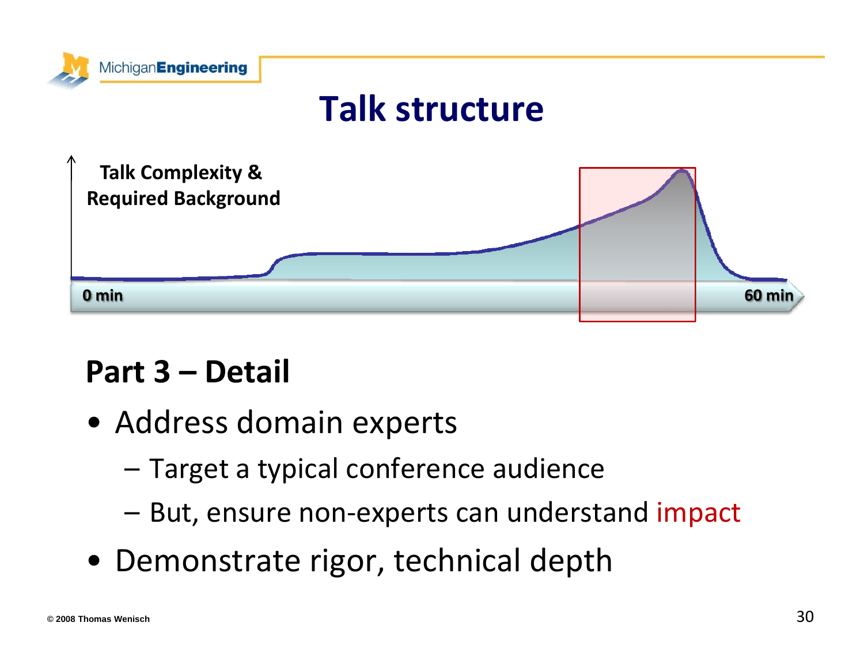



## **Part 3 – Detail**

- Address domain experts
	- –Target <sup>a</sup> typical conference audience
	- But, ensure non-experts can understand impact
- Demonstrate rigor, technical depth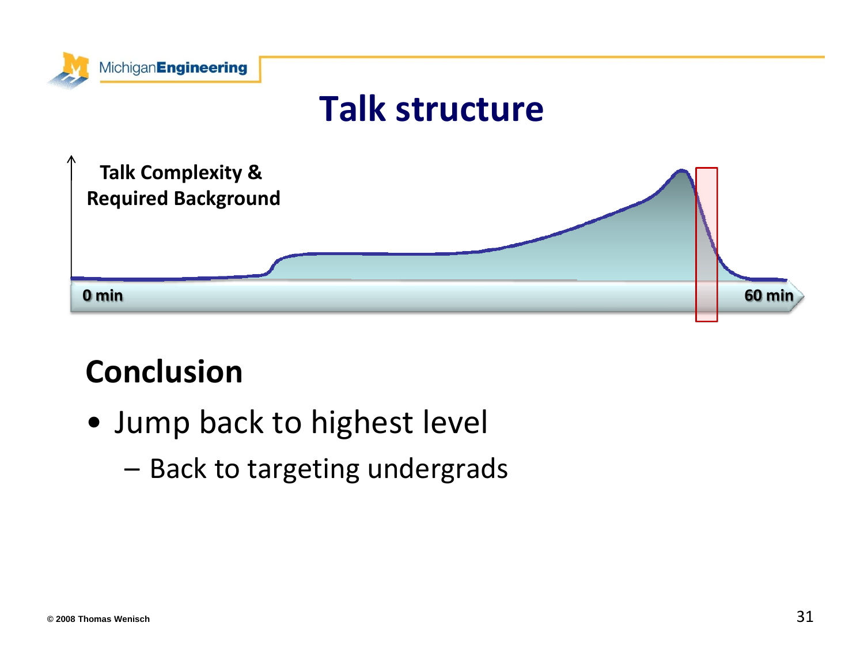

### **Conclusion**

- Jump back to highest level
	- Back to targeting undergrads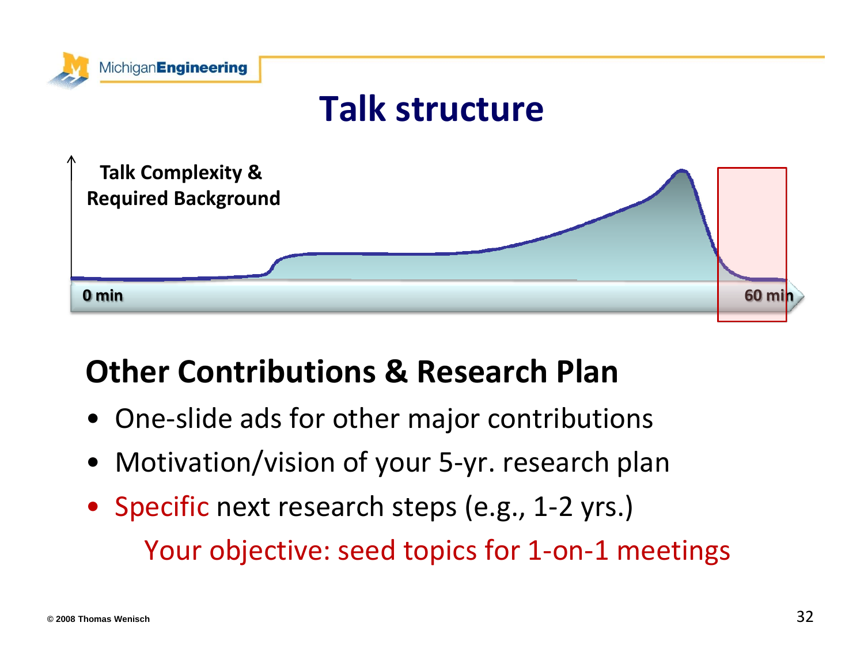

### **Other Contributions & Research Plan**

- One‐slide ads for other major contributions
- Motivation/vision of your 5‐yr. research plan
- Specific next research steps (e.g., 1-2 yrs.) Your objective: seed topics for 1‐on‐1 meetings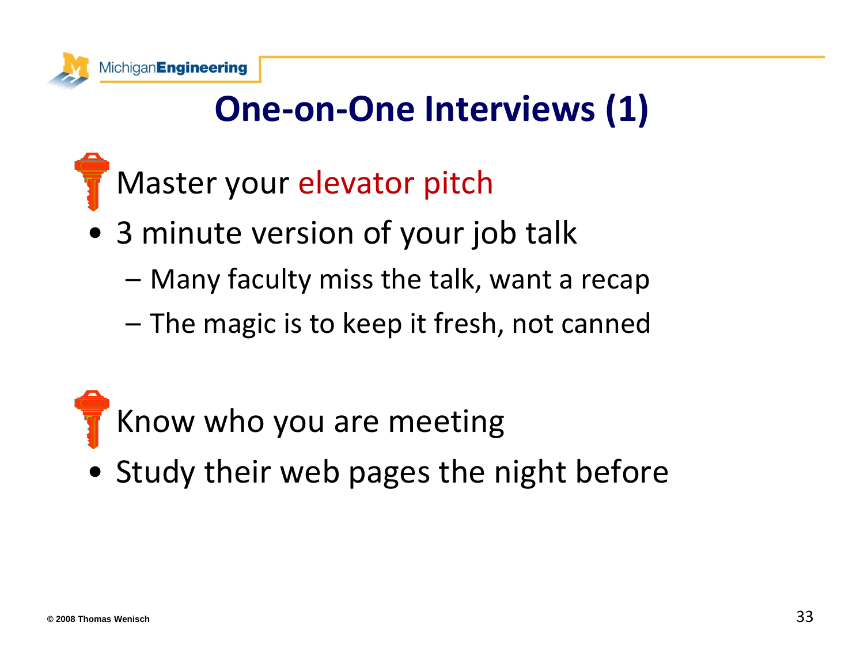

# **One‐on‐One Interviews (1)**

- Master your elevator pitch
- 3 minute version of your job talk
	- Many faculty miss the talk, want <sup>a</sup> recap
	- –– The magic is to keep it fresh, not canned

# Know who you are meeting

• Study their web pages the night before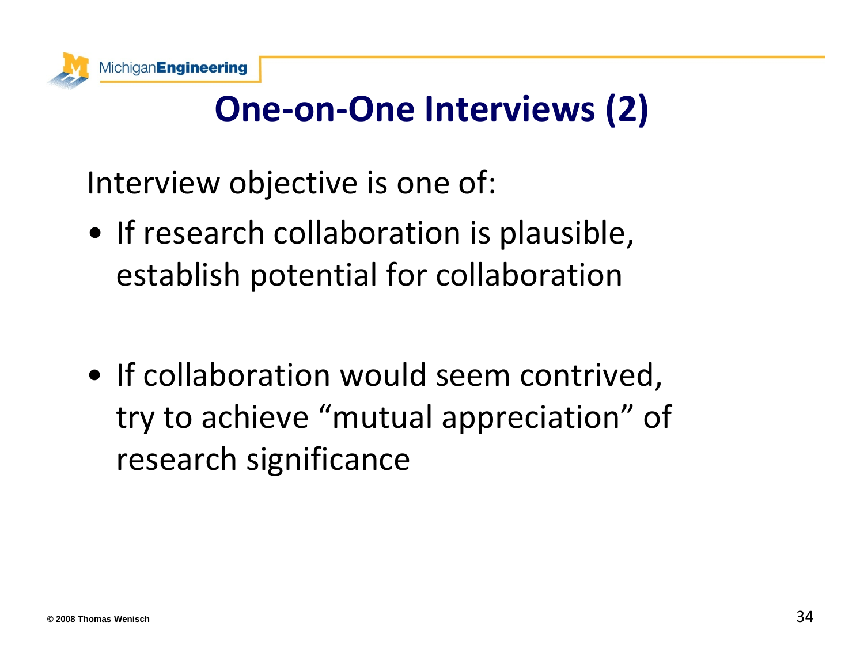

# **One‐on‐One Interviews (2)**

Interview objective is one of:

• If research collaboration is plausible, establish potential for collaboration

• If collaboration would seem contrived, try to achieve "mutual appreciation" of research significance